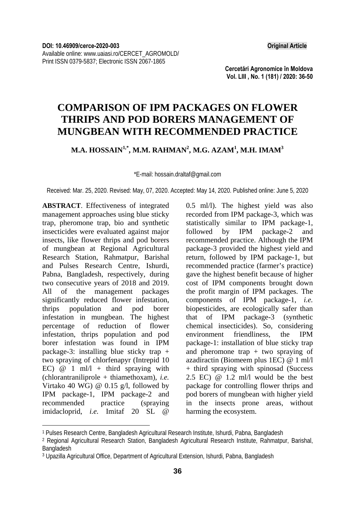**Cercetări Agronomice în Moldova Vol. LIII , No. 1 (181) / 2020: 36-50** 

## **COMPARISON OF IPM PACKAGES ON FLOWER THRIPS AND POD BORERS MANAGEMENT OF MUNGBEAN WITH RECOMMENDED PRACTICE**

## **M.A. HOSSAIN1,\*, M.M. RAHMAN2 , M.G. AZAM<sup>1</sup> , M.H. IMAM3**

\*E-mail: hossain.draltaf@gmail.com

Received: Mar. 25, 2020. Revised: May, 07, 2020. Accepted: May 14, 2020. Published online: June 5, 2020

**ABSTRACT**. Effectiveness of integrated management approaches using blue sticky trap, pheromone trap, bio and synthetic insecticides were evaluated against major insects, like flower thrips and pod borers of mungbean at Regional Agricultural Research Station, Rahmatpur, Barishal and Pulses Research Centre, Ishurdi, Pabna, Bangladesh, respectively, during two consecutive years of 2018 and 2019. All of the management packages significantly reduced flower infestation, thrips population and pod borer infestation in mungbean. The highest percentage of reduction of flower infestation, thrips population and pod borer infestation was found in IPM package-3: installing blue sticky trap + two spraying of chlorfenapyr (Intrepid 10 EC)  $@ 1 \text{ ml/l} + \text{third}$  spraying with (chlorantraniliprole + thiamethoxam), *i.e.* Virtako 40 WG) @ 0.15 g/l, followed by IPM package-1, IPM package-2 and recommended practice (spraying imidacloprid, *i.e.* Imitaf 20 SL @

l

0.5 ml/l). The highest yield was also recorded from IPM package-3, which was statistically similar to IPM package-1, followed by IPM package-2 and recommended practice. Although the IPM package-3 provided the highest yield and return, followed by IPM package-1, but recommended practice (farmer's practice) gave the highest benefit because of higher cost of IPM components brought down the profit margin of IPM packages. The components of IPM package-1, *i.e.* biopesticides, are ecologically safer than that of IPM package-3 (synthetic chemical insecticides). So, considering environment friendliness, the IPM package-1: installation of blue sticky trap and pheromone trap  $+$  two spraying of azadiractin (Biomeem plus 1EC) @ 1 ml/l + third spraying with spinosad (Success 2.5 EC) @ 1.2 ml/l would be the best package for controlling flower thrips and pod borers of mungbean with higher yield in the insects prone areas, without harming the ecosystem.

<sup>1</sup> Pulses Research Centre, Bangladesh Agricultural Research Institute, Ishurdi, Pabna, Bangladesh

<sup>2</sup> Regional Agricultural Research Station, Bangladesh Agricultural Research Institute, Rahmatpur, Barishal, Bangladesh

<sup>3</sup> Upazilla Agricultural Office, Department of Agricultural Extension, Ishurdi, Pabna, Bangladesh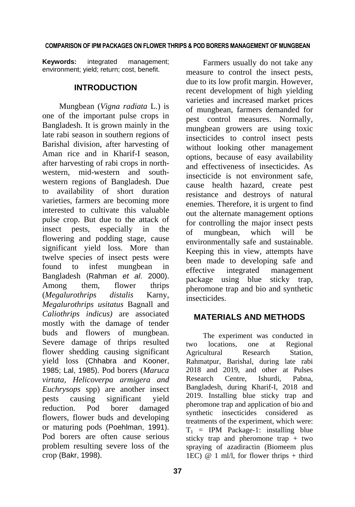**Keywords:** integrated management; environment; yield; return; cost, benefit.

## **INTRODUCTION**

Mungbean (*Vigna radiata* L.) is one of the important pulse crops in Bangladesh. It is grown mainly in the late rabi season in southern regions of Barishal division, after harvesting of Aman rice and in Kharif-I season, after harvesting of rabi crops in northwestern, mid-western and southwestern regions of Bangladesh. Due to availability of short duration varieties, farmers are becoming more interested to cultivate this valuable pulse crop. But due to the attack of insect pests, especially in the flowering and podding stage, cause significant yield loss. More than twelve species of insect pests were found to infest mungbean in Bangladesh (Rahman *et al*. 2000). Among them, flower thrips (*Megalurothrips distalis* Karny, *Megalurothrips usitatus* Bagnall and *Caliothrips indicus)* are associated mostly with the damage of tender buds and flowers of mungbean. Severe damage of thrips resulted flower shedding causing significant yield loss (Chhabra and Kooner, 1985; Lal, 1985). Pod borers (*Maruca virtata, Helicoverpa armigera and Euchrysops* spp) are another insect pests causing significant yield reduction. Pod borer damaged flowers, flower buds and developing or maturing pods (Poehlman, 1991). Pod borers are often cause serious problem resulting severe loss of the crop (Bakr, 1998).

Farmers usually do not take any measure to control the insect pests, due to its low profit margin. However, recent development of high yielding varieties and increased market prices of mungbean, farmers demanded for pest control measures. Normally, mungbean growers are using toxic insecticides to control insect pests without looking other management options, because of easy availability and effectiveness of insecticides. As insecticide is not environment safe cause health hazard, create pest resistance and destroys of natural enemies. Therefore, it is urgent to find out the alternate management options for controlling the major insect pests of mungbean, which will be environmentally safe and sustainable. Keeping this in view, attempts have been made to developing safe and effective integrated management package using blue sticky trap, pheromone trap and bio and synthetic insecticides.

### **MATERIALS AND METHODS**

The experiment was conducted in two locations, one at Regional Agricultural Research Station, Rahmatpur, Barishal, during late rabi 2018 and 2019, and other at Pulses Research Centre, Ishurdi, Pabna, Bangladesh, during Kharif-I, 2018 and 2019. Installing blue sticky trap and pheromone trap and application of bio and synthetic insecticides considered as treatments of the experiment, which were:  $T_1$  = IPM Package-1: installing blue sticky trap and pheromone trap + two spraying of azadiractin (Biomeem plus 1EC)  $@ 1$  ml/l, for flower thrips + third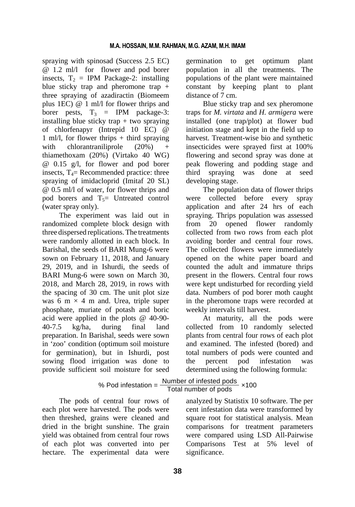spraying with spinosad (Success 2.5 EC) @ 1.2 ml/l for flower and pod borer insects,  $T_2$  = IPM Package-2: installing blue sticky trap and pheromone trap + three spraying of azadiractin (Biomeem plus 1EC) @ 1 ml/l for flower thrips and borer pests,  $T_3$  = IPM package-3: installing blue sticky trap + two spraying of chlorfenapyr (Intrepid 10 EC) @ 1 ml/l, for flower thrips + third spraying with chlorantraniliprole  $(20\%)$ thiamethoxam (20%) (Virtako 40 WG) @ 0.15 g/l, for flower and pod borer insects,  $T_4$ = Recommended practice: three spraying of imidacloprid (Imitaf 20 SL) @ 0.5 ml/l of water, for flower thrips and pod borers and  $T<sub>5</sub>=$  Untreated control (water spray only).

The experiment was laid out in randomized complete block design with three dispersed replications.The treatments were randomly allotted in each block. In Barishal, the seeds of BARI Mung-6 were sown on February 11, 2018, and January 29, 2019, and in Ishurdi, the seeds of BARI Mung-6 were sown on March 30, 2018, and March 28, 2019, in rows with the spacing of 30 cm. The unit plot size was 6 m  $\times$  4 m and. Urea, triple super phosphate, muriate of potash and boric acid were applied in the plots @ 40-90- 40-7.5 kg/ha, during final land preparation. In Barishal, seeds were sown in 'zoo' condition (optimum soil moisture for germination), but in Ishurdi, post sowing flood irrigation was done to provide sufficient soil moisture for seed

germination to get optimum plant population in all the treatments. The populations of the plant were maintained constant by keeping plant to plant distance of 7 cm.

Blue sticky trap and sex pheromone traps for *M. virtata* and *H. armigera* were installed (one trap/plot) at flower bud initiation stage and kept in the field up to harvest. Treatment-wise bio and synthetic insecticides were sprayed first at 100% flowering and second spray was done at peak flowering and podding stage and third spraying was done at seed developing stage.

The population data of flower thrips were collected before every spray application and after 24 hrs of each spraying. Thrips population was assessed from 20 opened flower randomly collected from two rows from each plot avoiding border and central four rows. The collected flowers were immediately opened on the white paper board and counted the adult and immature thrips present in the flowers. Central four rows were kept undisturbed for recording yield data. Numbers of pod borer moth caught in the pheromone traps were recorded at weekly intervals till harvest.

At maturity, all the pods were collected from 10 randomly selected plants from central four rows of each plot and examined. The infested (bored) and total numbers of pods were counted and the percent pod infestation was determined using the following formula:

# % Pod infestation =  $\frac{\text{Number of infected pools}}{\text{Total number of pools}} \times 100$

The pods of central four rows of each plot were harvested. The pods were then threshed, grains were cleaned and dried in the bright sunshine. The grain yield was obtained from central four rows of each plot was converted into per hectare. The experimental data were

analyzed by Statistix 10 software. The per cent infestation data were transformed by square root for statistical analysis. Mean comparisons for treatment parameters were compared using LSD All-Pairwise Comparisons Test at 5% level of significance.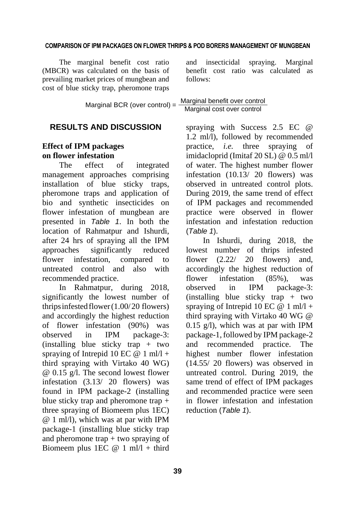The marginal benefit cost ratio (MBCR) was calculated on the basis of prevailing market prices of mungbean and cost of blue sticky trap, pheromone traps and insecticidal spraying. Marginal benefit cost ratio was calculated as follows:

|                               | Marginal benefit over control |
|-------------------------------|-------------------------------|
| Marginal BCR (over control) = | Marginal cost over control    |

## **RESULTS AND DISCUSSION**

## **Effect of IPM packages on flower infestation**

The effect of integrated management approaches comprising installation of blue sticky traps, pheromone traps and application of bio and synthetic insecticides on flower infestation of mungbean are presented in *Table 1*. In both the location of Rahmatpur and Ishurdi, after 24 hrs of spraying all the IPM approaches significantly reduced flower infestation, compared to untreated control and also with recommended practice.

In Rahmatpur, during 2018, significantly the lowest number of thrips infested flower $(1.00/20)$  flowers) and accordingly the highest reduction of flower infestation (90%) was observed in IPM package-3: (installing blue sticky trap + two spraying of Intrepid 10 EC  $@ 1$  ml/l + third spraying with Virtako 40 WG) @ 0.15 g/l. The second lowest flower infestation (3.13/ 20 flowers) was found in IPM package-2 (installing blue sticky trap and pheromone trap + three spraying of Biomeem plus 1EC) @ 1 ml/l), which was at par with IPM package-1 (installing blue sticky trap and pheromone trap  $+$  two spraying of Biomeem plus 1EC  $@ 1$  ml/l + third spraying with Success 2.5 EC @ 1.2 ml/l), followed by recommended practice, *i.e.* three spraying of imidacloprid (Imitaf 20 SL) @ 0.5 ml/l of water. The highest number flower infestation (10.13/ 20 flowers) was observed in untreated control plots. During 2019, the same trend of effect of IPM packages and recommended practice were observed in flower infestation and infestation reduction (*Table 1*).

In Ishurdi, during 2018, the lowest number of thrips infested flower (2.22/ 20 flowers) and, accordingly the highest reduction of flower infestation (85%), was observed in IPM package-3: (installing blue sticky trap + two spraying of Intrepid 10 EC  $@ 1$  ml/l + third spraying with Virtako 40 WG @ 0.15 g/l), which was at par with IPM package-1, followed by IPM package-2 and recommended practice. The highest number flower infestation (14.55/ 20 flowers) was observed in untreated control. During 2019, the same trend of effect of IPM packages and recommended practice were seen in flower infestation and infestation reduction (*Table 1*).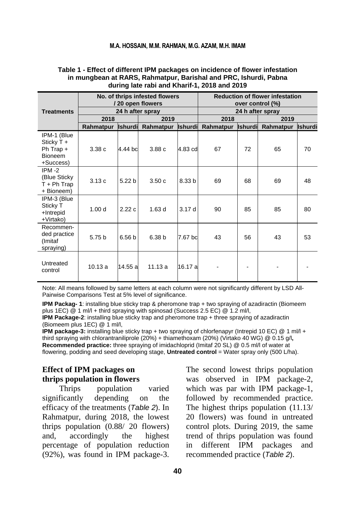#### **M.A. HOSSAIN, M.M. RAHMAN, M.G. AZAM, M.H. IMAM**

|                                                                         |                   |                   | No. of thrips infested flowers<br>/20 open flowers |         | <b>Reduction of flower infestation</b><br>over control (%) |                |                  |                |  |  |
|-------------------------------------------------------------------------|-------------------|-------------------|----------------------------------------------------|---------|------------------------------------------------------------|----------------|------------------|----------------|--|--|
| <b>Treatments</b>                                                       |                   |                   | 24 h after spray                                   |         |                                                            |                | 24 h after spray |                |  |  |
|                                                                         | 2018              |                   | 2019                                               |         | 2018                                                       |                | 2019             |                |  |  |
|                                                                         | Rahmatpur         | <b>Ishurdi</b>    | Rahmatpur Ishurdi                                  |         | Rahmatpur                                                  | <b>Ishurdi</b> | Rahmatpur        | <b>Ishurdi</b> |  |  |
| IPM-1 (Blue<br>Sticky $T +$<br>Ph Trap +<br><b>Bioneem</b><br>+Success) | 3.38c             | 4.44 bc           | 3.88c                                              | 4.83 cd | 67                                                         | 72             | 65               | 70             |  |  |
| $IPM - 2$<br>(Blue Sticky)<br>$T + Ph$ Trap<br>+ Bioneem)               | 3.13c             | 5.22 <sub>b</sub> | 3.50c                                              | 8.33 b  | 69                                                         | 68             | 69               | 48             |  |  |
| IPM-3 (Blue<br>Sticky T<br>+Intrepid<br>+Virtako)                       | 1.00 <sub>d</sub> | 2.22c             | 1.63d                                              | 3.17d   | 90                                                         | 85             | 85               | 80             |  |  |
| Recommen-<br>ded practice<br>(Imitaf<br>spraying)                       | 5.75 b            | 6.56 <sub>b</sub> | 6.38 <sub>b</sub>                                  | 7.67 bc | 43                                                         | 56             | 43               | 53             |  |  |
| Untreated<br>control                                                    | 10.13a            | 14.55 a           | 11.13a                                             | 16.17 a |                                                            |                |                  |                |  |  |

#### **Table 1 - Effect of different IPM packages on incidence of flower infestation in mungbean at RARS, Rahmatpur, Barishal and PRC, Ishurdi, Pabna during late rabi and Kharif-1, 2018 and 2019**

Note: All means followed by same letters at each column were not significantly different by LSD All-Pairwise Comparisons Test at 5% level of significance.

**IPM Packag- 1**: installing blue sticky trap & pheromone trap + two spraying of azadiractin (Biomeem plus 1EC) @ 1 ml/l + third spraying with spinosad (Success 2.5 EC) @ 1.2 ml/l,

**IPM Package-2**: installing blue sticky trap and pheromone trap + three spraying of azadiractin (Biomeem plus 1EC) @ 1 ml/l,

**IPM package-3:** installing blue sticky trap + two spraying of chlorfenapyr (Intrepid 10 EC) @ 1 ml/l + third spraying with chlorantraniliprole (20%) + thiamethoxam (20%) (Virtako 40 WG) @ 0.15 g/l**, Recommended practice:** three spraying of imidachloprid (Imitaf 20 SL) @ 0.5 ml/l of water at flowering, podding and seed developing stage, **Untreated control** = Water spray only (500 L/ha).

## **Effect of IPM packages on thrips population in flowers**

Thrips population varied significantly depending on the efficacy of the treatments (*Table 2*). In Rahmatpur, during 2018, the lowest thrips population (0.88/ 20 flowers) and, accordingly the highest percentage of population reduction (92%), was found in IPM package-3. The second lowest thrips population was observed in IPM package-2, which was par with IPM package-1, followed by recommended practice. The highest thrips population (11.13/ 20 flowers) was found in untreated control plots. During 2019, the same trend of thrips population was found in different IPM packages and recommended practice (*Table 2*).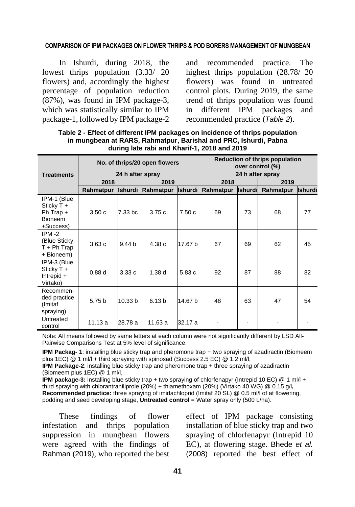In Ishurdi, during 2018, the lowest thrips population (3.33/ 20 flowers) and, accordingly the highest percentage of population reduction (87%), was found in IPM package-3, which was statistically similar to IPM package-1,followed by IPM package-2 and recommended practice. The highest thrips population (28.78/ 20 flowers) was found in untreated control plots. During 2019, the same trend of thrips population was found in different IPM packages and recommended practice (*Table 2*).

|                                                                         |           |                   | No. of thrips/20 open flowers |                | Reduction of thrips population<br>over control (%) |                |                  |                |  |  |
|-------------------------------------------------------------------------|-----------|-------------------|-------------------------------|----------------|----------------------------------------------------|----------------|------------------|----------------|--|--|
| <b>Treatments</b>                                                       |           |                   | 24 h after spray              |                |                                                    |                | 24 h after spray |                |  |  |
|                                                                         | 2018      |                   | 2019                          |                | 2018                                               |                | 2019             |                |  |  |
|                                                                         | Rahmatpur | <b>Ishurdi</b>    | Rahmatpur                     | <b>Ishurdi</b> | Rahmatpur                                          | <b>Ishurdi</b> | Rahmatpur        | <b>Ishurdi</b> |  |  |
| IPM-1 (Blue<br>Sticky $T +$<br>Ph Trap +<br><b>Bioneem</b><br>+Success) | 3.50c     | 7.33 bd           | 3.75c                         | 7.50c          | 69                                                 | 73             | 68               | 77             |  |  |
| $IPM - 2$<br>(Blue Sticky<br>$T + Ph$ Trap<br>+ Bioneem)                | 3.63c     | 9.44 <sub>b</sub> | 4.38 c                        | 17.67 b        | 67                                                 | 69             | 62               | 45             |  |  |
| IPM-3 (Blue<br>Sticky T +<br>Intrepid $+$<br>Virtako)                   | 0.88d     | 3.33c             | 1.38d                         | 5.83c          | 92                                                 | 87             | 88               | 82             |  |  |
| Recommen-<br>ded practice<br>(Imitaf<br>spraying)                       | 5.75 b    | 10.33 b           | 6.13 <sub>b</sub>             | 14.67 b        | 48                                                 | 63             | 47               | 54             |  |  |
| Untreated<br>control                                                    | 11.13 a   | 28.78 al          | 11.63 a                       | 32.17 al       |                                                    |                |                  |                |  |  |

**Table 2 - Effect of different IPM packages on incidence of thrips population in mungbean at RARS, Rahmatpur, Barishal and PRC, Ishurdi, Pabna during late rabi and Kharif-1, 2018 and 2019** 

Note: All means followed by same letters at each column were not significantly different by LSD All-Pairwise Comparisons Test at 5% level of significance.

**IPM Packag- 1**: installing blue sticky trap and pheromone trap + two spraying of azadiractin (Biomeem plus 1EC) @ 1 ml/l + third spraying with spinosad (Success 2.5 EC) @ 1.2 ml/l,

**IPM Package-2**: installing blue sticky trap and pheromone trap + three spraying of azadiractin (Biomeem plus 1EC) @ 1 ml/l,

**IPM package-3:** installing blue sticky trap + two spraying of chlorfenapyr (Intrepid 10 EC) @ 1 ml/l + third spraying with chlorantraniliprole (20%) + thiamethoxam (20%) (Virtako 40 WG) @ 0.15 g/l**, Recommended practice:** three spraying of imidachloprid (Imitaf 20 SL) @ 0.5 ml/l of at flowering, podding and seed developing stage, **Untreated control** = Water spray only (500 L/ha).

These findings of flower infestation and thrips population suppression in mungbean flowers were agreed with the findings of Rahman (2019), who reported the best effect of IPM package consisting installation of blue sticky trap and two spraying of chlorfenapyr (Intrepid 10 EC), at flowering stage. Bhede *et al.*  (2008) reported the best effect of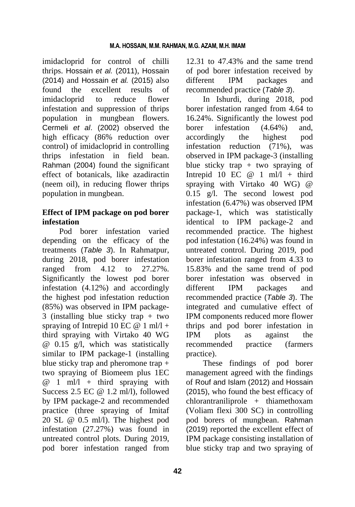imidacloprid for control of chilli thrips. Hossain *et al.* (2011), Hossain (2014) and Hossain *et al.* (2015) also found the excellent results of imidacloprid to reduce flower infestation and suppression of thrips population in mungbean flowers. Cermeli *et al*. (2002) observed the high efficacy (86% reduction over control) of imidacloprid in controlling thrips infestation in field bean. Rahman (2004) found the significant effect of botanicals, like azadiractin (neem oil), in reducing flower thrips population in mungbean.

## **Effect of IPM package on pod borer infestation**

Pod borer infestation varied depending on the efficacy of the treatments (*Table 3*). In Rahmatpur, during 2018, pod borer infestation ranged from 4.12 to 27.27%. Significantly the lowest pod borer infestation (4.12%) and accordingly the highest pod infestation reduction (85%) was observed in IPM package-3 (installing blue sticky trap + two spraying of Intrepid 10 EC  $@ 1$  ml/l + third spraying with Virtako 40 WG @ 0.15 g/l, which was statistically similar to IPM package-1 (installing blue sticky trap and pheromone trap + two spraying of Biomeem plus 1EC  $@ 1$  ml/l + third spraying with Success 2.5 EC  $@ 1.2$  ml/l), followed by IPM package-2 and recommended practice (three spraying of Imitaf 20 SL @ 0.5 ml/l). The highest pod infestation (27.27%) was found in untreated control plots. During 2019, pod borer infestation ranged from

12.31 to 47.43% and the same trend of pod borer infestation received by different IPM packages and recommended practice (*Table 3*).

In Ishurdi, during 2018, pod borer infestation ranged from 4.64 to 16.24%. Significantly the lowest pod borer infestation (4.64%) and, accordingly the highest pod infestation reduction (71%), was observed in IPM package-3 (installing blue sticky trap  $+$  two spraying of Intrepid 10 EC  $@$  1 ml/l + third spraying with Virtako 40 WG) @ 0.15 g/l. The second lowest pod infestation (6.47%) was observed IPM package-1, which was statistically identical to IPM package-2 and recommended practice. The highest pod infestation (16.24%) was found in untreated control. During 2019, pod borer infestation ranged from 4.33 to 15.83% and the same trend of pod borer infestation was observed in different IPM packages and recommended practice (*Table 3*). The integrated and cumulative effect of IPM components reduced more flower thrips and pod borer infestation in IPM plots as against the recommended practice (farmers practice).

These findings of pod borer management agreed with the findings of Rouf and Islam (2012) and Hossain (2015), who found the best efficacy of chlorantraniliprole + thiamethoxam (Voliam flexi 300 SC) in controlling pod borers of mungbean. Rahman (2019) reported the excellent effect of IPM package consisting installation of blue sticky trap and two spraying of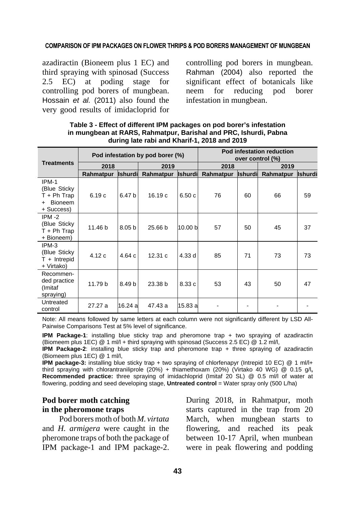azadiractin (Bioneem plus 1 EC) and third spraying with spinosad (Success 2.5 EC) at poding stage for controlling pod borers of mungbean. Hossain *et al.* (2011) also found the very good results of imidacloprid for controlling pod borers in mungbean. Rahman (2004) also reported the significant effect of botanicals like neem for reducing pod borer infestation in mungbean.

| Table 3 - Effect of different IPM packages on pod borer's infestation |
|-----------------------------------------------------------------------|
| in mungbean at RARS, Rahmatpur, Barishal and PRC, Ishurdi, Pabna      |
| during late rabi and Kharif-1, 2018 and 2019                          |
|                                                                       |

|                                                                         |                             |                   | Pod infestation by pod borer (%) |                | Pod infestation reduction<br>over control (%) |                |           |                |  |
|-------------------------------------------------------------------------|-----------------------------|-------------------|----------------------------------|----------------|-----------------------------------------------|----------------|-----------|----------------|--|
| <b>Treatments</b>                                                       | 2018                        |                   | 2019                             |                | 2018                                          |                | 2019      |                |  |
|                                                                         | <b>Ishurdi</b><br>Rahmatpur |                   | Rahmatpur                        | <b>Ishurdi</b> | Rahmatpur                                     | <b>Ishurdi</b> | Rahmatpur | <b>Ishurdi</b> |  |
| IPM-1<br>(Blue Sticky)<br>$T + Ph$ Trap<br><b>Bioneem</b><br>+ Success) | 6.19c                       | 6.47 b            | 16.19c                           | 6.50c          | 76                                            | 60             | 66        | 59             |  |
| $IPM -2$<br>(Blue Sticky)<br>$T + Ph$ Trap<br>+ Bioneem)                | 11.46 <sub>b</sub>          | 8.05 <sub>b</sub> | 25.66 b                          | 10.00 b        | 57                                            | 50             | 45        | 37             |  |
| IPM-3<br>(Blue Sticky)<br>$T +$ Intrepid<br>+ Virtako)                  | 4.12c                       | 4.64c             | 12.31c                           | 4.33d          | 85                                            | 71             | 73        | 73             |  |
| Recommen-<br>ded practice<br>(Imitaf<br>spraying)                       | 11.79 b                     | 8.49 <sub>b</sub> | 23.38 b                          | 8.33c          | 53                                            | 43             | 50        | 47             |  |
| Untreated<br>control                                                    | 27.27 a                     | 16.24 a           | 47.43 a                          | 15.83 a        |                                               |                |           |                |  |

Note: All means followed by same letters at each column were not significantly different by LSD All-Pairwise Comparisons Test at 5% level of significance.

**IPM Package-1**: installing blue sticky trap and pheromone trap + two spraying of azadiractin (Biomeem plus 1EC) @ 1 ml/l + third spraying with spinosad (Success 2.5 EC) @ 1.2 ml/l,

**IPM Package-2**: installing blue sticky trap and pheromone trap + three spraying of azadiractin (Biomeem plus 1EC) @ 1 ml/l,

**IPM package-3:** installing blue sticky trap + two spraying of chlorfenapyr (Intrepid 10 EC) @ 1 ml/l+ third spraying with chlorantraniliprole (20%) + thiamethoxam (20%) (Virtako 40 WG) @ 0.15 g/l**, Recommended practice:** three spraying of imidachloprid (Imitaf 20 SL) @ 0.5 ml/l of water at flowering, podding and seed developing stage, **Untreated control** = Water spray only (500 L/ha)

## **Pod borer moth catching in the pheromone traps**

Pod borers moth of both *M. virtata*  and *H. armigera* were caught in the pheromone traps of both the package of IPM package-1 and IPM package-2. During 2018, in Rahmatpur, moth starts captured in the trap from 20 March, when mungbean starts to flowering, and reached its peak between 10-17 April, when munbean were in peak flowering and podding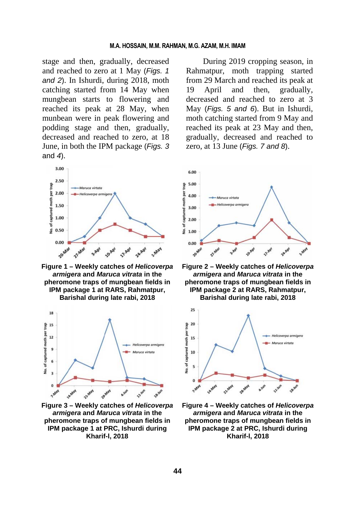stage and then, gradually, decreased and reached to zero at 1 May (*Figs. 1 and 2*). In Ishurdi, during 2018, moth catching started from 14 May when mungbean starts to flowering and reached its peak at 28 May, when munbean were in peak flowering and podding stage and then, gradually, decreased and reached to zero, at 18 June, in both the IPM package (*Figs. 3*  and *4*).



**Figure 1 – Weekly catches of** *Helicoverpa armigera* **and** *Maruca vitrata* **in the pheromone traps of mungbean fields in IPM package 1 at RARS, Rahmatpur, Barishal during late rabi, 2018** 



**Figure 3 – Weekly catches of** *Helicoverpa armigera* **and** *Maruca vitrata* **in the pheromone traps of mungbean fields in IPM package 1 at PRC, Ishurdi during Kharif-l, 2018** 

During 2019 cropping season, in Rahmatpur, moth trapping started from 29 March and reached its peak at 19 April and then, gradually, decreased and reached to zero at 3 May (*Figs. 5 and 6*). But in Ishurdi, moth catching started from 9 May and reached its peak at 23 May and then, gradually, decreased and reached to zero, at 13 June (*Figs. 7 and 8*).



**Figure 2 – Weekly catches of** *Helicoverpa armigera* **and** *Maruca vitrata* **in the pheromone traps of mungbean fields in IPM package 2 at RARS, Rahmatpur, Barishal during late rabi, 2018**



**Figure 4 – Weekly catches of** *Helicoverpa armigera* **and** *Maruca vitrata* **in the pheromone traps of mungbean fields in IPM package 2 at PRC, Ishurdi during Kharif-l, 2018**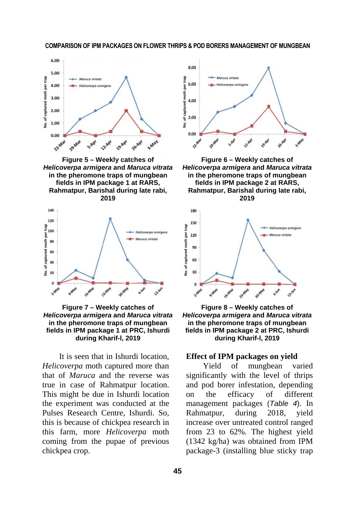

**Figure 5 – Weekly catches of**  *Helicoverpa armigera* **and** *Maruca vitrata* **in the pheromone traps of mungbean fields in IPM package 1 at RARS, Rahmatpur, Barishal during late rabi, 2019** 



**Figure 7 – Weekly catches of**  *Helicoverpa armigera* **and** *Maruca vitrata* **in the pheromone traps of mungbean fields in IPM package 1 at PRC, Ishurdi during Kharif-l, 2019** 

It is seen that in Ishurdi location, *Helicoverpa* moth captured more than that of *Maruca* and the reverse was true in case of Rahmatpur location. This might be due in Ishurdi location the experiment was conducted at the Pulses Research Centre, Ishurdi. So, this is because of chickpea research in this farm, more *Helicoverpa* moth coming from the pupae of previous chickpea crop.



**Figure 6 – Weekly catches of**  *Helicoverpa armigera* **and** *Maruca vitrata* **in the pheromone traps of mungbean fields in IPM package 2 at RARS, Rahmatpur, Barishal during late rabi, 2019**



**Figure 8 – Weekly catches of**  *Helicoverpa armigera* **and** *Maruca vitrata* **in the pheromone traps of mungbean fields in IPM package 2 at PRC, Ishurdi during Kharif-l, 2019**

#### **Effect of IPM packages on yield**

Yield of mungbean varied significantly with the level of thrips and pod borer infestation, depending on the efficacy of different management packages (*Table 4*). In Rahmatpur, during 2018, yield increase over untreated control ranged from 23 to 62%. The highest yield (1342 kg/ha) was obtained from IPM package-3 (installing blue sticky trap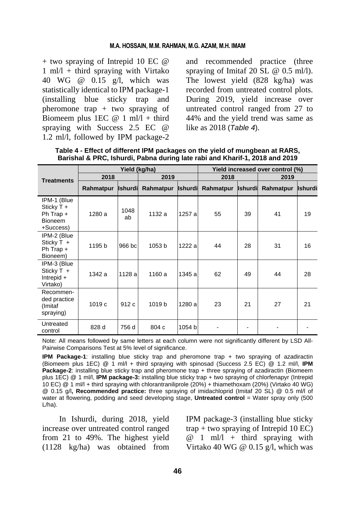#### **M.A. HOSSAIN, M.M. RAHMAN, M.G. AZAM, M.H. IMAM**

 $+$  two spraying of Intrepid 10 EC  $\omega$  $1 \text{ ml}/1 + \text{third}$  spraying with Virtako 40 WG @ 0.15 g/l, which was statistically identical to IPM package-1 (installing blue sticky trap and pheromone trap + two spraying of Biomeem plus 1EC  $@ 1$  ml/l + third spraying with Success 2.5 EC @ 1.2 ml/l, followed by IPM package-2

and recommended practice (three spraying of Imitaf 20 SL @ 0.5 ml/l). The lowest yield (828 kg/ha) was recorded from untreated control plots. During 2019, yield increase over untreated control ranged from 27 to 44% and the yield trend was same as like as 2018 (*Table 4*).

|                                                                           |                   | Yield (kg/ha) |                   | Yield increased over control (%) |           |                |           |                |  |  |
|---------------------------------------------------------------------------|-------------------|---------------|-------------------|----------------------------------|-----------|----------------|-----------|----------------|--|--|
| <b>Treatments</b>                                                         | 2018              |               | 2019              |                                  | 2018      |                | 2019      |                |  |  |
|                                                                           | Rahmatpur         | Ishurdi       | Rahmatpur         | <b>Ishurdi</b>                   | Rahmatpur | <b>Ishurdi</b> | Rahmatpur | <b>Ishurdi</b> |  |  |
| IPM-1 (Blue<br>Sticky $T +$<br>Ph Trap $+$<br><b>Bioneem</b><br>+Success) | 1280 a            | 1048<br>ab    | 1132 a            | 1257 al                          | 55        | 39             | 41        | 19             |  |  |
| IPM-2 (Blue<br>Sticky T +<br>Ph Trap +<br>Bioneem)                        | 1195 b            | 966 bc        | 1053 b            | 1222 al                          | 44        | 28             | 31        | 16             |  |  |
| IPM-3 (Blue<br>Sticky $T +$<br>$Interpid +$<br>Virtako)                   | 1342 a            | 1128 al       | 1160 a            | 1345 al                          | 62        | 49             | 44        | 28             |  |  |
| Recommen-<br>ded practice<br>(Imitaf<br>spraying)                         | 1019 <sub>c</sub> | 912 c         | 1019 <sub>b</sub> | 1280 al                          | 23        | 21             | 27        | 21             |  |  |
| Untreated<br>control                                                      | 828 d             | 756 d         | 804 c             | 1054 b                           |           |                |           |                |  |  |

**Table 4 - Effect of different IPM packages on the yield of mungbean at RARS, Barishal & PRC, Ishurdi, Pabna during late rabi and Kharif-1, 2018 and 2019** 

Note: All means followed by same letters at each column were not significantly different by LSD All-Pairwise Comparisons Test at 5% level of significance.

**IPM Package-1**: installing blue sticky trap and pheromone trap + two spraying of azadiractin (Biomeem plus 1EC) @ 1 ml/l + third spraying with spinosad (Success 2.5 EC) @ 1.2 ml/l, **IPM Package-2**: installing blue sticky trap and pheromone trap + three spraying of azadiractin (Biomeem plus 1EC) @ 1 ml/l, **IPM package-3:** installing blue sticky trap + two spraying of chlorfenapyr (Intrepid 10 EC) @ 1 ml/l + third spraying with chlorantraniliprole (20%) + thiamethoxam (20%) (Virtako 40 WG) @ 0.15 g/l**, Recommended practice:** three spraying of imidachloprid (Imitaf 20 SL) @ 0.5 ml/l of water at flowering, podding and seed developing stage, **Untreated control** = Water spray only (500) L/ha).

In Ishurdi, during 2018, yield increase over untreated control ranged from 21 to 49%. The highest yield (1128 kg/ha) was obtained from IPM package-3 (installing blue sticky  $trap + two$  spraying of Intrepid 10 EC)  $@ 1$  ml/l + third spraying with Virtako 40 WG @  $0.15$  g/l, which was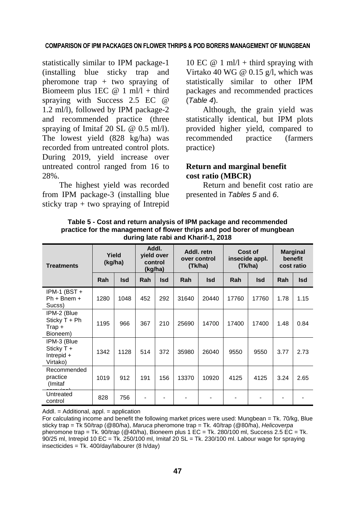statistically similar to IPM package-1 (installing blue sticky trap and pheromone trap + two spraying of Biomeem plus 1EC  $@ 1$  ml/l + third spraying with Success 2.5 EC @ 1.2 ml/l), followed by IPM package-2 and recommended practice (three spraying of Imitaf 20 SL @ 0.5 ml/l). The lowest yield (828 kg/ha) was recorded from untreated control plots. During 2019, yield increase over untreated control ranged from 16 to 28%.

The highest yield was recorded from IPM package-3 (installing blue sticky trap + two spraying of Intrepid

10 EC  $@ 1$  ml/l + third spraying with Virtako 40 WG @  $0.15$  g/l, which was statistically similar to other IPM packages and recommended practices (*Table 4*).

Although, the grain yield was statistically identical, but IPM plots provided higher yield, compared to recommended practice (farmers practice)

## **Return and marginal benefit cost ratio (MBCR)**

Return and benefit cost ratio are presented in *Tables 5* and *6*.

| <b>Treatments</b>                                      | Yield<br>(kg/ha) |            | Addl.<br>vield over<br>control<br>(kg/ha) |            | Addl. retn<br>over control<br>(Tk/ha) |            | Cost of<br>insecide appl.<br>(Tk/ha) |            | <b>Marginal</b><br>benefit<br>cost ratio |            |
|--------------------------------------------------------|------------------|------------|-------------------------------------------|------------|---------------------------------------|------------|--------------------------------------|------------|------------------------------------------|------------|
|                                                        | Rah              | <b>Isd</b> | Rah                                       | <b>Isd</b> | Rah                                   | <b>Isd</b> | Rah                                  | <b>Isd</b> | Rah                                      | <b>Isd</b> |
| IPM-1 (BST $+$<br>$Ph + Bnem +$<br>Sucss)              | 1280             | 1048       | 452                                       | 292        | 31640                                 | 20440      | 17760                                | 17760      | 1.78                                     | 1.15       |
| IPM-2 (Blue<br>Sticky $T + Ph$<br>$Trap +$<br>Bioneem) | 1195             | 966        | 367                                       | 210        | 25690                                 | 14700      | 17400                                | 17400      | 1.48                                     | 0.84       |
| IPM-3 (Blue<br>Sticky T +<br>Intrepid $+$<br>Virtako)  | 1342             | 1128       | 514                                       | 372        | 35980                                 | 26040      | 9550                                 | 9550       | 3.77                                     | 2.73       |
| Recommended<br>practice<br>(Imitaf                     | 1019             | 912        | 191                                       | 156        | 13370                                 | 10920      | 4125                                 | 4125       | 3.24                                     | 2.65       |
| Untreated<br>control                                   | 828              | 756        | $\qquad \qquad \blacksquare$              |            |                                       |            |                                      |            |                                          |            |

**Table 5 - Cost and return analysis of IPM package and recommended practice for the management of flower thrips and pod borer of mungbean during late rabi and Kharif-1, 2018** 

Addl. = Additional, appl. = application

For calculating income and benefit the following market prices were used: Mungbean = Tk. 70/kg, Blue sticky trap = Tk 50/trap (@80/ha), *Maruca* pheromone trap = Tk. 40/trap (@80/ha), *Helicoverpa* pheromone trap = Tk. 90/trap (@40/ha), Bioneem plus 1 EC = Tk. 280/100 ml, Success 2.5 EC = Tk. 90/25 ml, Intrepid 10 EC = Tk. 250/100 ml, Imitaf 20 SL = Tk. 230/100 ml. Labour wage for spraying insecticides = Tk. 400/day/labourer (8 h/day)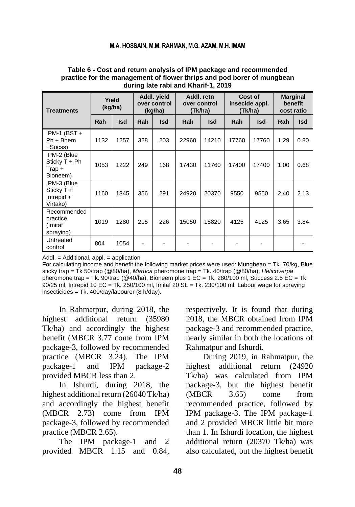#### **M.A. HOSSAIN, M.M. RAHMAN, M.G. AZAM, M.H. IMAM**

| <b>Treatments</b>                                       | Yield<br>(kg/ha) |            | Addl. yield<br>over control<br>(kg/ha) |            | Addl. retn<br>over control<br>(Tk/ha) |            | Cost of<br>insecide appl.<br>(Tk/ha) |            | <b>Marginal</b><br>benefit<br>cost ratio |      |
|---------------------------------------------------------|------------------|------------|----------------------------------------|------------|---------------------------------------|------------|--------------------------------------|------------|------------------------------------------|------|
|                                                         | Rah              | <b>Isd</b> | Rah                                    | <b>Isd</b> | Rah                                   | <b>Isd</b> | Rah                                  | <b>Isd</b> | Rah                                      | Isd  |
| IPM-1 (BST $+$<br>$Ph + Bnem$<br>$+Sucss$               | 1132             | 1257       | 328                                    | 203        | 22960                                 | 14210      | 17760                                | 17760      | 1.29                                     | 0.80 |
| IPM-2 (Blue<br>Sticky $T + Ph$<br>$Trap +$<br>Bioneem)  | 1053             | 1222       | 249                                    | 168        | 17430                                 | 11760      | 17400                                | 17400      | 1.00                                     | 0.68 |
| IPM-3 (Blue<br>Sticky $T +$<br>Intrepid $+$<br>Virtako) | 1160             | 1345       | 356                                    | 291        | 24920                                 | 20370      | 9550                                 | 9550       | 2.40                                     | 2.13 |
| Recommended<br>practice<br>(Imitaf<br>spraying)         | 1019             | 1280       | 215                                    | 226        | 15050                                 | 15820      | 4125                                 | 4125       | 3.65                                     | 3.84 |
| Untreated<br>control                                    | 804              | 1054       |                                        |            |                                       |            |                                      |            |                                          |      |

#### **Table 6 - Cost and return analysis of IPM package and recommended practice for the management of flower thrips and pod borer of mungbean during late rabi and Kharif-1, 2019**

Addl. = Additional, appl. = application

For calculating income and benefit the following market prices were used: Mungbean = Tk. 70/kg, Blue sticky trap = Tk 50/trap (@80/ha), *Maruca* pheromone trap = Tk. 40/trap (@80/ha), *Helicoverpa* pheromone trap = Tk. 90/trap (@40/ha), Bioneem plus 1 EC = Tk. 280/100 ml, Success 2.5 EC = Tk.  $90/25$  ml, Intrepid 10 EC = Tk. 250/100 ml, Imitaf 20 SL = Tk. 230/100 ml. Labour wage for spraying insecticides = Tk. 400/day/labourer (8 h/day).

In Rahmatpur, during 2018, the highest additional return (35980 Tk/ha) and accordingly the highest benefit (MBCR 3.77 come from IPM package-3, followed by recommended practice (MBCR 3.24). The IPM package-1 and IPM package-2 provided MBCR less than 2.

In Ishurdi, during 2018, the highest additional return (26040 Tk/ha) and accordingly the highest benefit (MBCR 2.73) come from IPM package-3, followed by recommended practice (MBCR 2.65).

The IPM package-1 and 2 provided MBCR 1.15 and 0.84, respectively. It is found that during 2018, the MBCR obtained from IPM package-3 and recommended practice, nearly similar in both the locations of Rahmatpur and Ishurdi.

During 2019, in Rahmatpur, the highest additional return (24920 Tk/ha) was calculated from IPM package-3, but the highest benefit (MBCR 3.65) come from recommended practice, followed by IPM package-3. The IPM package-1 and 2 provided MBCR little bit more than 1. In Ishurdi location, the highest additional return (20370 Tk/ha) was also calculated, but the highest benefit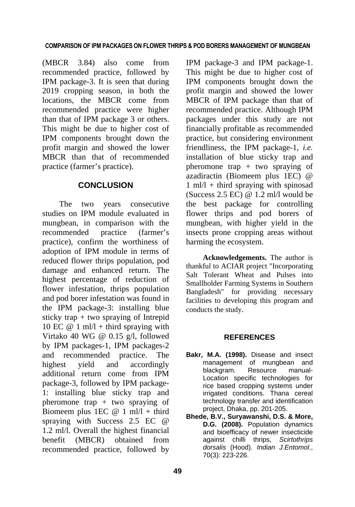(MBCR 3.84) also come from recommended practice, followed by IPM package-3. It is seen that during 2019 cropping season, in both the locations, the MBCR come from recommended practice were higher than that of IPM package 3 or others. This might be due to higher cost of IPM components brought down the profit margin and showed the lower MBCR than that of recommended practice (farmer's practice).

## **CONCLUSION**

The two years consecutive studies on IPM module evaluated in mungbean, in comparison with the recommended practice (farmer's practice), confirm the worthiness of adoption of IPM module in terms of reduced flower thrips population, pod damage and enhanced return. The highest percentage of reduction of flower infestation, thrips population and pod borer infestation was found in the IPM package-3: installing blue sticky trap + two spraying of Intrepid 10 EC  $@ 1$  ml/l + third spraying with Virtako 40 WG @ 0.15 g/l, followed by IPM packages-1, IPM packages-2 and recommended practice. The highest yield and accordingly additional return come from IPM package-3, followed by IPM package-1: installing blue sticky trap and pheromone trap + two spraying of Biomeem plus 1EC  $@ 1$  ml/l + third spraying with Success 2.5 EC @ 1.2 ml/l. Overall the highest financial benefit (MBCR) obtained from recommended practice, followed by

IPM package-3 and IPM package-1. This might be due to higher cost of IPM components brought down the profit margin and showed the lower MBCR of IPM package than that of recommended practice. Although IPM packages under this study are not financially profitable as recommended practice, but considering environment friendliness, the IPM package-1, *i.e.* installation of blue sticky trap and pheromone trap  $+$  two spraying of azadiractin (Biomeem plus 1EC) @  $1 \text{ ml}/1 + \text{third}$  spraying with spinosad (Success 2.5 EC) @ 1.2 ml/l would be the best package for controlling flower thrips and pod borers of mungbean, with higher yield in the insects prone cropping areas without harming the ecosystem.

**Acknowledgements.** The author is thankful to ACIAR project "Incorporating Salt Tolerant Wheat and Pulses into Smallholder Farming Systems in Southern Bangladesh" for providing necessary facilities to developing this program and conducts the study.

## **REFERENCES**

- **Bakr, M.A. (1998).** Disease and insect management of mungbean and blackgram. Resource manual-Location specific technologies for rice based cropping systems under irrigated conditions. Thana cereal technology transfer and identification project, Dhaka, pp. 201-205.
- **Bhede, B.V., Suryawanshi, D.S. & More, D.G. (2008).** Population dynamics and bioefficacy of newer insecticide against chilli thrips, *Scirtothrips dorsalis* (Hood). *Indian J.Entomol*., 70(3): 223-226.